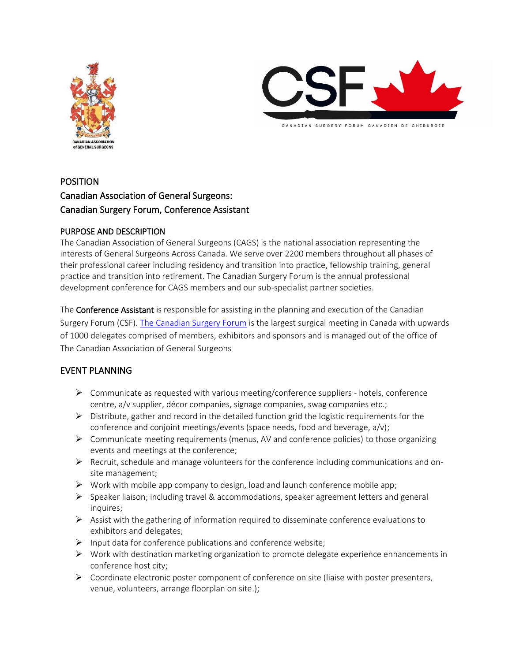



# POSITION Canadian Association of General Surgeons: Canadian Surgery Forum, Conference Assistant

# PURPOSE AND DESCRIPTION

The Canadian Association of General Surgeons (CAGS) is the national association representing the interests of General Surgeons Across Canada. We serve over 2200 members throughout all phases of their professional career including residency and transition into practice, fellowship training, general practice and transition into retirement. The Canadian Surgery Forum is the annual professional development conference for CAGS members and our sub-specialist partner societies.

The **Conference Assistant** is responsible for assisting in the planning and execution of the Canadian Surgery Forum (CSF). [The Canadian Surgery Forum](https://www.canadiansurgeryforum.com/) is the largest surgical meeting in Canada with upwards of 1000 delegates comprised of members, exhibitors and sponsors and is managed out of the office of The Canadian Association of General Surgeons

# EVENT PLANNING

- $\triangleright$  Communicate as requested with various meeting/conference suppliers hotels, conference centre, a/v supplier, décor companies, signage companies, swag companies etc.;
- $\triangleright$  Distribute, gather and record in the detailed function grid the logistic requirements for the conference and conjoint meetings/events (space needs, food and beverage, a/v);
- $\triangleright$  Communicate meeting requirements (menus, AV and conference policies) to those organizing events and meetings at the conference;
- $\triangleright$  Recruit, schedule and manage volunteers for the conference including communications and onsite management;
- $\triangleright$  Work with mobile app company to design, load and launch conference mobile app;
- $\triangleright$  Speaker liaison; including travel & accommodations, speaker agreement letters and general inquires;
- $\triangleright$  Assist with the gathering of information required to disseminate conference evaluations to exhibitors and delegates;
- ➢ Input data for conference publications and conference website;
- ➢ Work with destination marketing organization to promote delegate experience enhancements in conference host city;
- $\triangleright$  Coordinate electronic poster component of conference on site (liaise with poster presenters, venue, volunteers, arrange floorplan on site.);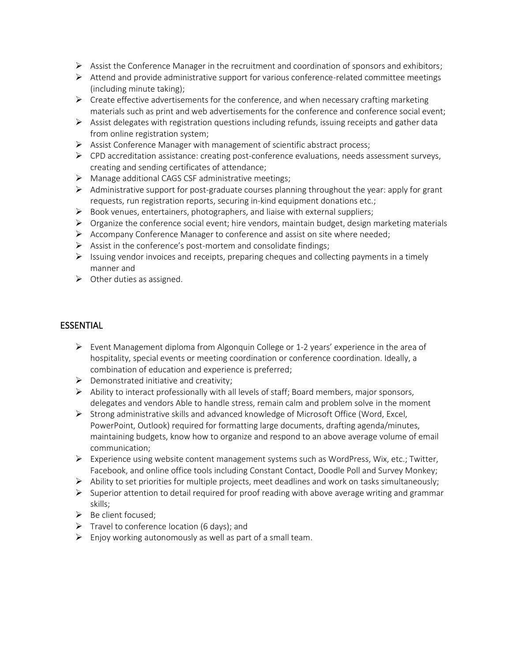- $\triangleright$  Assist the Conference Manager in the recruitment and coordination of sponsors and exhibitors;
- $\triangleright$  Attend and provide administrative support for various conference-related committee meetings (including minute taking);
- $\triangleright$  Create effective advertisements for the conference, and when necessary crafting marketing materials such as print and web advertisements for the conference and conference social event;
- $\triangleright$  Assist delegates with registration questions including refunds, issuing receipts and gather data from online registration system;
- $\triangleright$  Assist Conference Manager with management of scientific abstract process;
- ➢ CPD accreditation assistance: creating post-conference evaluations, needs assessment surveys, creating and sending certificates of attendance;
- ➢ Manage additional CAGS CSF administrative meetings;
- $\triangleright$  Administrative support for post-graduate courses planning throughout the year: apply for grant requests, run registration reports, securing in-kind equipment donations etc.;
- ➢ Book venues, entertainers, photographers, and liaise with external suppliers;
- $\triangleright$  Organize the conference social event; hire vendors, maintain budget, design marketing materials
- ➢ Accompany Conference Manager to conference and assist on site where needed;
- $\triangleright$  Assist in the conference's post-mortem and consolidate findings;
- ➢ Issuing vendor invoices and receipts, preparing cheques and collecting payments in a timely manner and
- $\triangleright$  Other duties as assigned.

#### **ESSENTIAL**

- $\triangleright$  Event Management diploma from Algonquin College or 1-2 years' experience in the area of hospitality, special events or meeting coordination or conference coordination. Ideally, a combination of education and experience is preferred;
- $\triangleright$  Demonstrated initiative and creativity;
- $\triangleright$  Ability to interact professionally with all levels of staff; Board members, major sponsors, delegates and vendors Able to handle stress, remain calm and problem solve in the moment
- ➢ Strong administrative skills and advanced knowledge of Microsoft Office (Word, Excel, PowerPoint, Outlook) required for formatting large documents, drafting agenda/minutes, maintaining budgets, know how to organize and respond to an above average volume of email communication;
- ➢ Experience using website content management systems such as WordPress, Wix, etc.; Twitter, Facebook, and online office tools including Constant Contact, Doodle Poll and Survey Monkey;
- ➢ Ability to set priorities for multiple projects, meet deadlines and work on tasks simultaneously;
- $\triangleright$  Superior attention to detail required for proof reading with above average writing and grammar skills;
- ➢ Be client focused;
- $\triangleright$  Travel to conference location (6 days); and
- $\triangleright$  Enjoy working autonomously as well as part of a small team.